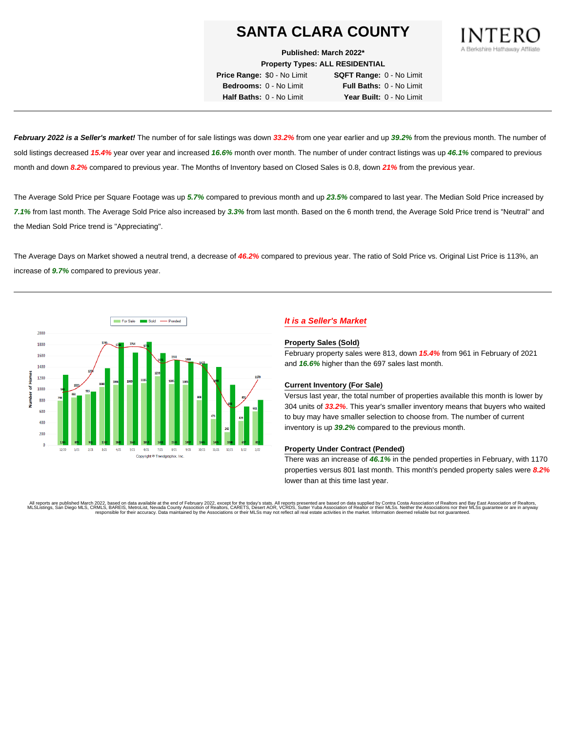**Published: March 2022\***

**Property Types: ALL RESIDENTIAL**

**Price Range:** \$0 - No Limit **SQFT Range:** 0 - No Limit **Bedrooms:** 0 - No Limit **Full Baths:** 0 - No Limit **Half Baths:** 0 - No Limit **Year Built:** 0 - No Limit

**February 2022 is a Seller's market!** The number of for sale listings was down **33.2%** from one year earlier and up **39.2%** from the previous month. The number of sold listings decreased **15.4%** year over year and increased **16.6%** month over month. The number of under contract listings was up **46.1%** compared to previous month and down **8.2%** compared to previous year. The Months of Inventory based on Closed Sales is 0.8, down **21%** from the previous year.

The Average Sold Price per Square Footage was up **5.7%** compared to previous month and up **23.5%** compared to last year. The Median Sold Price increased by **7.1%** from last month. The Average Sold Price also increased by **3.3%** from last month. Based on the 6 month trend, the Average Sold Price trend is "Neutral" and the Median Sold Price trend is "Appreciating".

The Average Days on Market showed a neutral trend, a decrease of **46.2%** compared to previous year. The ratio of Sold Price vs. Original List Price is 113%, an increase of **9.7%** compared to previous year.



# **It is a Seller's Market**

#### **Property Sales (Sold)**

February property sales were 813, down **15.4%** from 961 in February of 2021 and **16.6%** higher than the 697 sales last month.

#### **Current Inventory (For Sale)**

Versus last year, the total number of properties available this month is lower by 304 units of **33.2%**. This year's smaller inventory means that buyers who waited to buy may have smaller selection to choose from. The number of current inventory is up **39.2%** compared to the previous month.

#### **Property Under Contract (Pended)**

There was an increase of **46.1%** in the pended properties in February, with 1170 properties versus 801 last month. This month's pended property sales were **8.2%** lower than at this time last year.

All reports are published March 2022, based on data available at the end of February 2022, except for the today's stats. All reports presented are based on data supplied by Contra Costa Association of Realtors and Bay East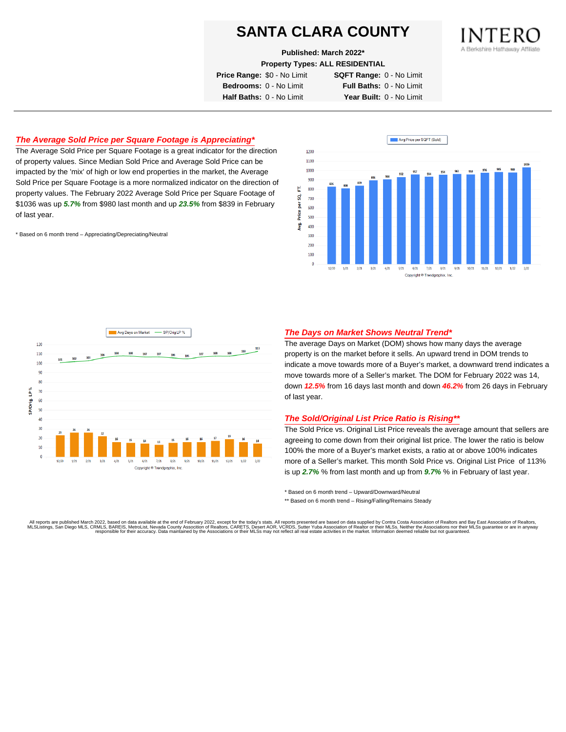**Published: March 2022\***

**Property Types: ALL RESIDENTIAL**

**Price Range:** \$0 - No Limit **SQFT Range:** 0 - No Limit

**Bedrooms:** 0 - No Limit **Full Baths:** 0 - No Limit **Half Baths:** 0 - No Limit **Year Built:** 0 - No Limit

# **The Average Sold Price per Square Footage is Appreciating\***

The Average Sold Price per Square Footage is a great indicator for the direction of property values. Since Median Sold Price and Average Sold Price can be impacted by the 'mix' of high or low end properties in the market, the Average Sold Price per Square Footage is a more normalized indicator on the direction of property values. The February 2022 Average Sold Price per Square Footage of \$1036 was up **5.7%** from \$980 last month and up **23.5%** from \$839 in February of last year.

\* Based on 6 month trend – Appreciating/Depreciating/Neutral





## **The Days on Market Shows Neutral Trend\***

The average Days on Market (DOM) shows how many days the average property is on the market before it sells. An upward trend in DOM trends to indicate a move towards more of a Buyer's market, a downward trend indicates a move towards more of a Seller's market. The DOM for February 2022 was 14, down **12.5%** from 16 days last month and down **46.2%** from 26 days in February of last year.

#### **The Sold/Original List Price Ratio is Rising\*\***

The Sold Price vs. Original List Price reveals the average amount that sellers are agreeing to come down from their original list price. The lower the ratio is below 100% the more of a Buyer's market exists, a ratio at or above 100% indicates more of a Seller's market. This month Sold Price vs. Original List Price of 113% is up **2.7%** % from last month and up from **9.7%** % in February of last year.

\* Based on 6 month trend – Upward/Downward/Neutral

\*\* Based on 6 month trend - Rising/Falling/Remains Steady

All reports are published March 2022, based on data available at the end of February 2022, except for the today's stats. All reports presented are based on data supplied by Contra Costa Association of Realtors and Bay East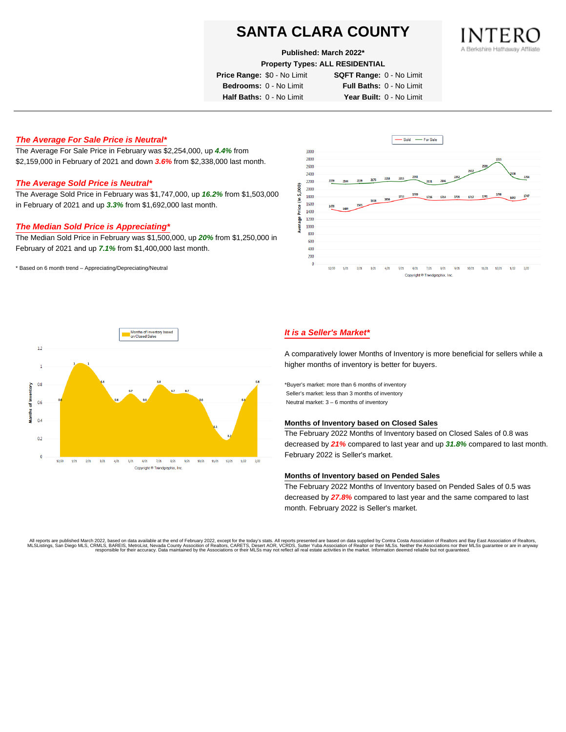**Published: March 2022\***

**Property Types: ALL RESIDENTIAL**

**Price Range:** \$0 - No Limit **SQFT Range:** 0 - No Limit

**Bedrooms:** 0 - No Limit **Full Baths:** 0 - No Limit

**Half Baths:** 0 - No Limit **Year Built:** 0 - No Limit

# **The Average For Sale Price is Neutral\***

The Average For Sale Price in February was \$2,254,000, up **4.4%** from \$2,159,000 in February of 2021 and down **3.6%** from \$2,338,000 last month.

## **The Average Sold Price is Neutral\***

The Average Sold Price in February was \$1,747,000, up **16.2%** from \$1,503,000 in February of 2021 and up **3.3%** from \$1,692,000 last month.

## **The Median Sold Price is Appreciating\***

The Median Sold Price in February was \$1,500,000, up **20%** from \$1,250,000 in February of 2021 and up **7.1%** from \$1,400,000 last month.

\* Based on 6 month trend – Appreciating/Depreciating/Neutral





# **It is a Seller's Market\***

A comparatively lower Months of Inventory is more beneficial for sellers while a higher months of inventory is better for buyers.

\*Buyer's market: more than 6 months of inventory Seller's market: less than 3 months of inventory Neutral market: 3 – 6 months of inventory

### **Months of Inventory based on Closed Sales**

The February 2022 Months of Inventory based on Closed Sales of 0.8 was decreased by **21%** compared to last year and up **31.8%** compared to last month. February 2022 is Seller's market.

#### **Months of Inventory based on Pended Sales**

The February 2022 Months of Inventory based on Pended Sales of 0.5 was decreased by **27.8%** compared to last year and the same compared to last month. February 2022 is Seller's market.

. All reports are published March 2022, based on data available at the end of February 2022, except for the today's stats. All reports presented are based on data supplied by Contra Costa Association of Realtors, San Bread responsible for their accuracy. Data maintained by the Associations or their MLSs may not reflect all real estate activities in the market. Information deemed reliable but not guaranteed.